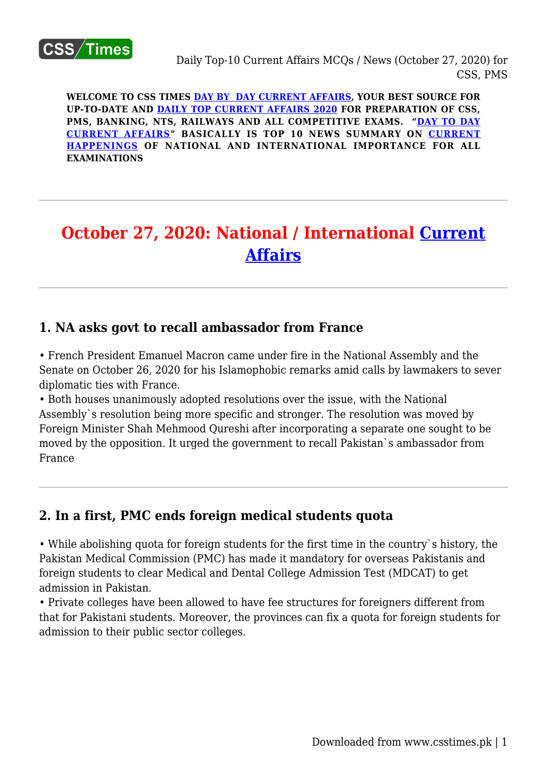

**WELCOME TO CSS TIMES [DAY BY DAY CURRENT AFFAIRS](https://www.csstimes.pk/category/csssubject/csscompulsorysubjects/currentaffairs/), YOUR BEST SOURCE FOR UP-TO-DATE AND [DAILY TOP CURRENT AFFAIRS 2020](https://www.csstimes.pk/category/csssubject/csscompulsorysubjects/currentaffairs/) FOR PREPARATION OF CSS, PMS, BANKING, NTS, RAILWAYS AND ALL COMPETITIVE EXAMS. "[DAY TO DAY](https://www.csstimes.pk/category/csssubject/csscompulsorysubjects/currentaffairs/) [CURRENT AFFAIRS"](https://www.csstimes.pk/category/csssubject/csscompulsorysubjects/currentaffairs/) BASICALLY IS TOP 10 NEWS SUMMARY ON [CURRENT](https://www.csstimes.pk/category/csssubject/csscompulsorysubjects/currentaffairs/) [HAPPENINGS](https://www.csstimes.pk/category/csssubject/csscompulsorysubjects/currentaffairs/) OF NATIONAL AND INTERNATIONAL IMPORTANCE FOR ALL EXAMINATIONS**

# **October 27, 2020: National / International [Current](https://www.csstimes.pk/category/csssubject/csscompulsorysubjects/currentaffairs/) [Affairs](https://www.csstimes.pk/category/csssubject/csscompulsorysubjects/currentaffairs/)**

## **1. NA asks govt to recall ambassador from France**

• French President Emanuel Macron came under fire in the National Assembly and the Senate on October 26, 2020 for his Islamophobic remarks amid calls by lawmakers to sever diplomatic ties with France.

• Both houses unanimously adopted resolutions over the issue, with the National Assembly`s resolution being more specific and stronger. The resolution was moved by Foreign Minister Shah Mehmood Qureshi after incorporating a separate one sought to be moved by the opposition. It urged the government to recall Pakistan`s ambassador from France

## **2. In a first, PMC ends foreign medical students quota**

• While abolishing quota for foreign students for the first time in the country`s history, the Pakistan Medical Commission (PMC) has made it mandatory for overseas Pakistanis and foreign students to clear Medical and Dental College Admission Test (MDCAT) to get admission in Pakistan.

• Private colleges have been allowed to have fee structures for foreigners different from that for Pakistani students. Moreover, the provinces can fix a quota for foreign students for admission to their public sector colleges.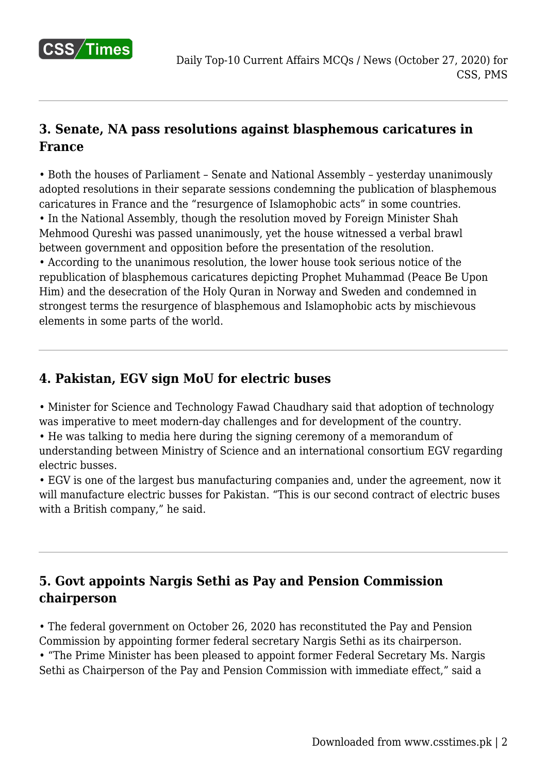

# **3. Senate, NA pass resolutions against blasphemous caricatures in France**

• Both the houses of Parliament – Senate and National Assembly – yesterday unanimously adopted resolutions in their separate sessions condemning the publication of blasphemous caricatures in France and the "resurgence of Islamophobic acts" in some countries. • In the National Assembly, though the resolution moved by Foreign Minister Shah Mehmood Qureshi was passed unanimously, yet the house witnessed a verbal brawl between government and opposition before the presentation of the resolution.

• According to the unanimous resolution, the lower house took serious notice of the republication of blasphemous caricatures depicting Prophet Muhammad (Peace Be Upon Him) and the desecration of the Holy Quran in Norway and Sweden and condemned in strongest terms the resurgence of blasphemous and Islamophobic acts by mischievous elements in some parts of the world.

#### **4. Pakistan, EGV sign MoU for electric buses**

• Minister for Science and Technology Fawad Chaudhary said that adoption of technology was imperative to meet modern-day challenges and for development of the country.

• He was talking to media here during the signing ceremony of a memorandum of understanding between Ministry of Science and an international consortium EGV regarding electric busses.

• EGV is one of the largest bus manufacturing companies and, under the agreement, now it will manufacture electric busses for Pakistan. "This is our second contract of electric buses with a British company," he said.

# **5. Govt appoints Nargis Sethi as Pay and Pension Commission chairperson**

• The federal government on October 26, 2020 has reconstituted the Pay and Pension Commission by appointing former federal secretary Nargis Sethi as its chairperson. • "The Prime Minister has been pleased to appoint former Federal Secretary Ms. Nargis Sethi as Chairperson of the Pay and Pension Commission with immediate effect," said a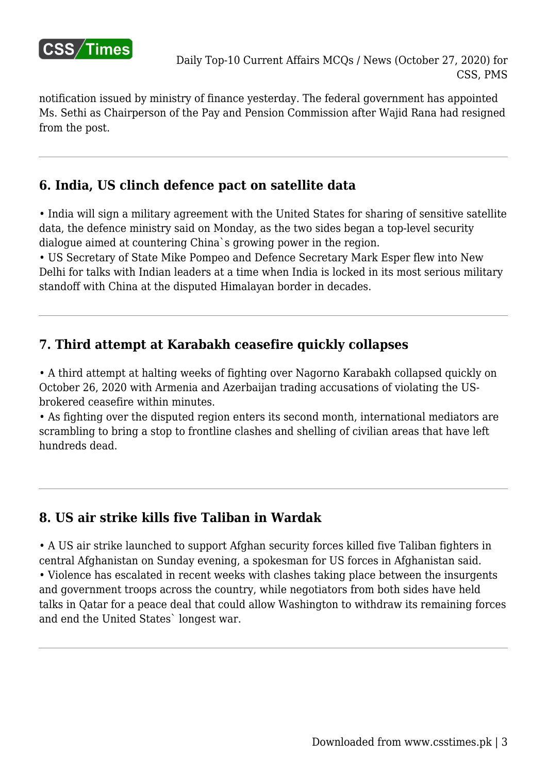

notification issued by ministry of finance yesterday. The federal government has appointed Ms. Sethi as Chairperson of the Pay and Pension Commission after Wajid Rana had resigned from the post.

# **6. India, US clinch defence pact on satellite data**

• India will sign a military agreement with the United States for sharing of sensitive satellite data, the defence ministry said on Monday, as the two sides began a top-level security dialogue aimed at countering China`s growing power in the region.

• US Secretary of State Mike Pompeo and Defence Secretary Mark Esper flew into New Delhi for talks with Indian leaders at a time when India is locked in its most serious military standoff with China at the disputed Himalayan border in decades.

## **7. Third attempt at Karabakh ceasefire quickly collapses**

• A third attempt at halting weeks of fighting over Nagorno Karabakh collapsed quickly on October 26, 2020 with Armenia and Azerbaijan trading accusations of violating the USbrokered ceasefire within minutes.

• As fighting over the disputed region enters its second month, international mediators are scrambling to bring a stop to frontline clashes and shelling of civilian areas that have left hundreds dead.

# **8. US air strike kills five Taliban in Wardak**

• A US air strike launched to support Afghan security forces killed five Taliban fighters in central Afghanistan on Sunday evening, a spokesman for US forces in Afghanistan said. • Violence has escalated in recent weeks with clashes taking place between the insurgents and government troops across the country, while negotiators from both sides have held talks in Qatar for a peace deal that could allow Washington to withdraw its remaining forces and end the United States` longest war.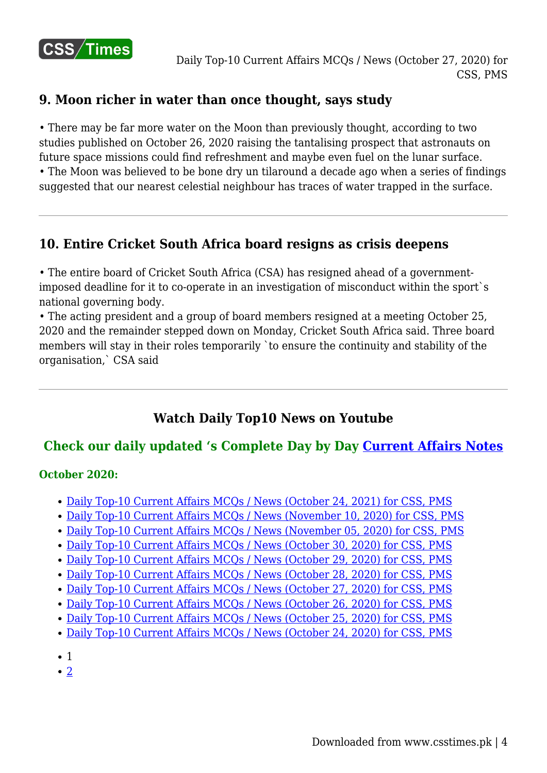

## **9. Moon richer in water than once thought, says study**

• There may be far more water on the Moon than previously thought, according to two studies published on October 26, 2020 raising the tantalising prospect that astronauts on future space missions could find refreshment and maybe even fuel on the lunar surface.

• The Moon was believed to be bone dry un tilaround a decade ago when a series of findings suggested that our nearest celestial neighbour has traces of water trapped in the surface.

# **10. Entire Cricket South Africa board resigns as crisis deepens**

• The entire board of Cricket South Africa (CSA) has resigned ahead of a governmentimposed deadline for it to co-operate in an investigation of misconduct within the sport`s national governing body.

• The acting president and a group of board members resigned at a meeting October 25, 2020 and the remainder stepped down on Monday, Cricket South Africa said. Three board members will stay in their roles temporarily `to ensure the continuity and stability of the organisation,` CSA said

# **Watch Daily Top10 News on Youtube**

# **Check our daily updated 's Complete Day by Day [Current Affairs Notes](https://www.csstimes.pk/category/csssubject/csscompulsorysubjects/currentaffairs/)**

#### **October 2020:**

- [Daily Top-10 Current Affairs MCQs / News \(October 24, 2021\) for CSS, PMS](https://www.csstimes.pk/current-affairs-mcqs-oct-24-2021/)
- [Daily Top-10 Current Affairs MCQs / News \(November 10, 2020\) for CSS, PMS](https://www.csstimes.pk/current-affairs-mcqs-nov-10-2020/)
- [Daily Top-10 Current Affairs MCQs / News \(November 05, 2020\) for CSS, PMS](https://www.csstimes.pk/current-affairs-mcqs-nov-05-2020/)
- [Daily Top-10 Current Affairs MCQs / News \(October 30, 2020\) for CSS, PMS](https://www.csstimes.pk/current-affairs-mcqs-oct-30-2020/)
- [Daily Top-10 Current Affairs MCQs / News \(October 29, 2020\) for CSS, PMS](https://www.csstimes.pk/current-affairs-mcqs-oct-29-2020/)
- [Daily Top-10 Current Affairs MCQs / News \(October 28, 2020\) for CSS, PMS](https://www.csstimes.pk/current-affairs-mcqs-oct-28-2020/)
- [Daily Top-10 Current Affairs MCQs / News \(October 27, 2020\) for CSS, PMS](https://www.csstimes.pk/current-affairs-mcqs-oct-27-2020/)
- [Daily Top-10 Current Affairs MCQs / News \(October 26, 2020\) for CSS, PMS](https://www.csstimes.pk/current-affairs-mcqs-oct-26-2020/)
- [Daily Top-10 Current Affairs MCQs / News \(October 25, 2020\) for CSS, PMS](https://www.csstimes.pk/current-affairs-mcqs-oct-25-2020/)
- [Daily Top-10 Current Affairs MCQs / News \(October 24, 2020\) for CSS, PMS](https://www.csstimes.pk/top-10-current-affairs-mcqs-oct-24-2020/)
- 1
- $\cdot$  [2](https://www.csstimes.pk/current-affairs-mcqs-oct-27-2020/?pdf=14905&lcp_page0=2#lcp_instance_0)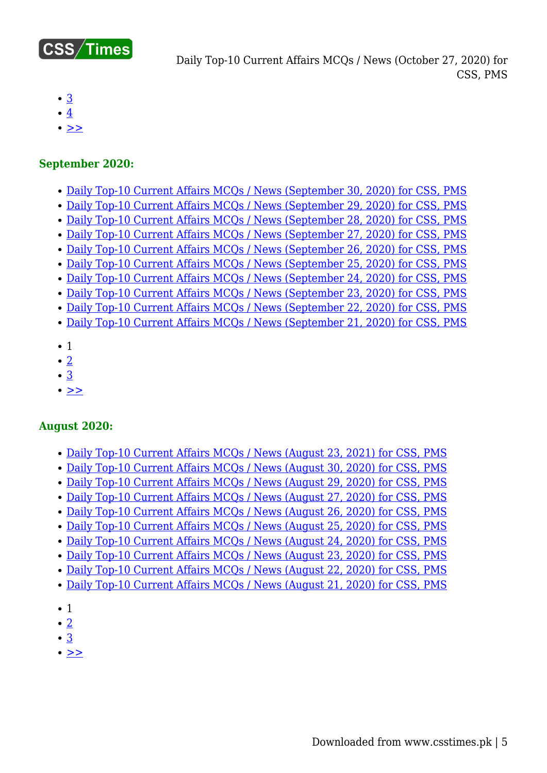

Daily Top-10 Current Affairs MCQs / News (October 27, 2020) for CSS, PMS

- [3](https://www.csstimes.pk/current-affairs-mcqs-oct-27-2020/?pdf=14905&lcp_page0=3#lcp_instance_0)
- $\bullet$  [4](https://www.csstimes.pk/current-affairs-mcqs-oct-27-2020/?pdf=14905&lcp_page0=4#lcp_instance_0)
- $\bullet$  [>>](https://www.csstimes.pk/current-affairs-mcqs-oct-27-2020/?pdf=14905&lcp_page0=2#lcp_instance_0)

#### **September 2020:**

- [Daily Top-10 Current Affairs MCQs / News \(September 30, 2020\) for CSS, PMS](https://www.csstimes.pk/current-affairs-mcqs-sep-30-2020/)
- [Daily Top-10 Current Affairs MCQs / News \(September 29, 2020\) for CSS, PMS](https://www.csstimes.pk/current-affairs-mcqs-sep-29-2020/)
- [Daily Top-10 Current Affairs MCQs / News \(September 28, 2020\) for CSS, PMS](https://www.csstimes.pk/current-affairs-mcqs-sep-28-2020/)
- [Daily Top-10 Current Affairs MCQs / News \(September 27, 2020\) for CSS, PMS](https://www.csstimes.pk/current-affairs-mcqs-sep-27-2020/)
- [Daily Top-10 Current Affairs MCQs / News \(September 26, 2020\) for CSS, PMS](https://www.csstimes.pk/current-affairs-mcqs-sep-26-2020/)
- [Daily Top-10 Current Affairs MCQs / News \(September 25, 2020\) for CSS, PMS](https://www.csstimes.pk/current-affairs-mcqs-sep-25-2020/)
- [Daily Top-10 Current Affairs MCQs / News \(September 24, 2020\) for CSS, PMS](https://www.csstimes.pk/current-affairs-mcqs-sep-24-2020/)
- [Daily Top-10 Current Affairs MCQs / News \(September 23, 2020\) for CSS, PMS](https://www.csstimes.pk/current-affairs-mcqs-sep-23-2020/)
- [Daily Top-10 Current Affairs MCQs / News \(September 22, 2020\) for CSS, PMS](https://www.csstimes.pk/current-affairs-mcqs-sep-21-2020-2/)
- [Daily Top-10 Current Affairs MCQs / News \(September 21, 2020\) for CSS, PMS](https://www.csstimes.pk/current-affairs-mcqs-sep-21-2020/)
- $\bullet$  1
- $\cdot$  [2](https://www.csstimes.pk/current-affairs-mcqs-oct-27-2020/?pdf=14905&lcp_page0=2#lcp_instance_0)
- $\cdot \underline{3}$  $\cdot \underline{3}$  $\cdot \underline{3}$
- $\cdot$   $\geq$

#### **August 2020:**

- [Daily Top-10 Current Affairs MCQs / News \(August 23, 2021\) for CSS, PMS](https://www.csstimes.pk/current-affairs-mcqs-aug-23-2021/)
- [Daily Top-10 Current Affairs MCQs / News \(August 30, 2020\) for CSS, PMS](https://www.csstimes.pk/current-affairs-mcqs-august-30-2020/)
- [Daily Top-10 Current Affairs MCQs / News \(August 29, 2020\) for CSS, PMS](https://www.csstimes.pk/daily-top-10-current-affairs-mcqs-news-august-29-2020-css-pms/)
- [Daily Top-10 Current Affairs MCQs / News \(August 27, 2020\) for CSS, PMS](https://www.csstimes.pk/current-affairs-mcqs-august-27-2020/)
- [Daily Top-10 Current Affairs MCQs / News \(August 26, 2020\) for CSS, PMS](https://www.csstimes.pk/current-affairs-mcqs-august-26-2020/)
- [Daily Top-10 Current Affairs MCQs / News \(August 25, 2020\) for CSS, PMS](https://www.csstimes.pk/current-affairs-mcqs-august-25-2020/)
- [Daily Top-10 Current Affairs MCQs / News \(August 24, 2020\) for CSS, PMS](https://www.csstimes.pk/current-affairs-mcqs-august-24-2020/)
- [Daily Top-10 Current Affairs MCQs / News \(August 23, 2020\) for CSS, PMS](https://www.csstimes.pk/current-affairs-mcqs-news-august-23-2020/)
- [Daily Top-10 Current Affairs MCQs / News \(August 22, 2020\) for CSS, PMS](https://www.csstimes.pk/current-affairs-mcqs-august-22-2020/)
- [Daily Top-10 Current Affairs MCQs / News \(August 21, 2020\) for CSS, PMS](https://www.csstimes.pk/current-affairs-mcqs-august-21-2020/)
- $\bullet$  1
- $\bullet$  [2](https://www.csstimes.pk/current-affairs-mcqs-oct-27-2020/?pdf=14905&lcp_page0=2#lcp_instance_0)
- [3](https://www.csstimes.pk/current-affairs-mcqs-oct-27-2020/?pdf=14905&lcp_page0=3#lcp_instance_0)
- $\bullet$  [>>](https://www.csstimes.pk/current-affairs-mcqs-oct-27-2020/?pdf=14905&lcp_page0=2#lcp_instance_0)